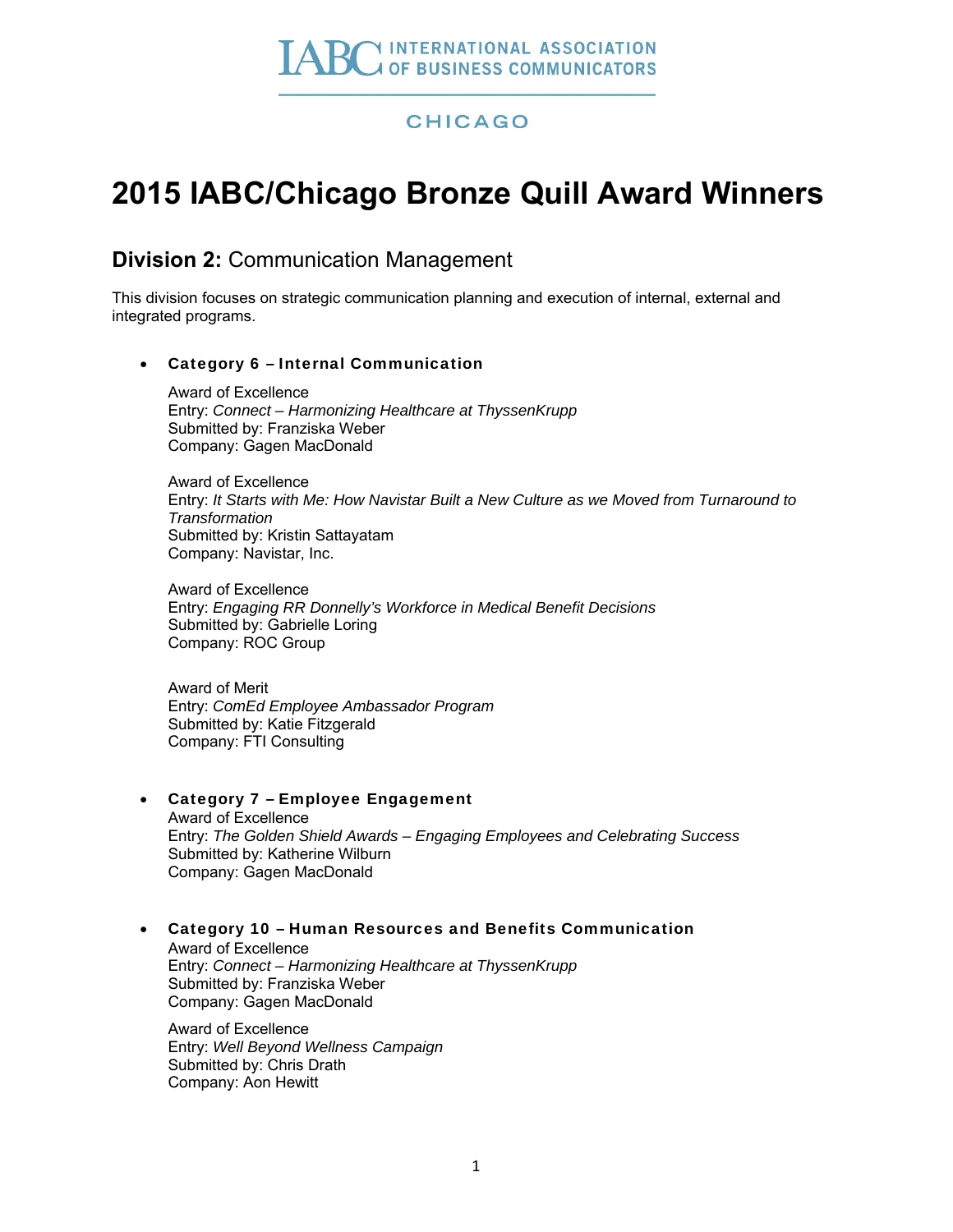# **CHICAGO**

# **2015 IABC/Chicago Bronze Quill Award Winners**

# **Division 2:** Communication Management

This division focuses on strategic communication planning and execution of internal, external and integrated programs.

## Category 6 – Internal Communication

Award of Excellence Entry: *Connect – Harmonizing Healthcare at ThyssenKrupp* Submitted by: Franziska Weber Company: Gagen MacDonald

Award of Excellence Entry: *It Starts with Me: How Navistar Built a New Culture as we Moved from Turnaround to Transformation* Submitted by: Kristin Sattayatam Company: Navistar, Inc.

Award of Excellence Entry: *Engaging RR Donnelly's Workforce in Medical Benefit Decisions* Submitted by: Gabrielle Loring Company: ROC Group

Award of Merit Entry: *ComEd Employee Ambassador Program* Submitted by: Katie Fitzgerald Company: FTI Consulting

## Category 7 – Employee Engagement

Award of Excellence Entry: *The Golden Shield Awards – Engaging Employees and Celebrating Success* Submitted by: Katherine Wilburn Company: Gagen MacDonald

## Category 10 – Human Resources and Benefits Communication

Award of Excellence Entry: *Connect – Harmonizing Healthcare at ThyssenKrupp* Submitted by: Franziska Weber Company: Gagen MacDonald

Award of Excellence Entry: *Well Beyond Wellness Campaign* Submitted by: Chris Drath Company: Aon Hewitt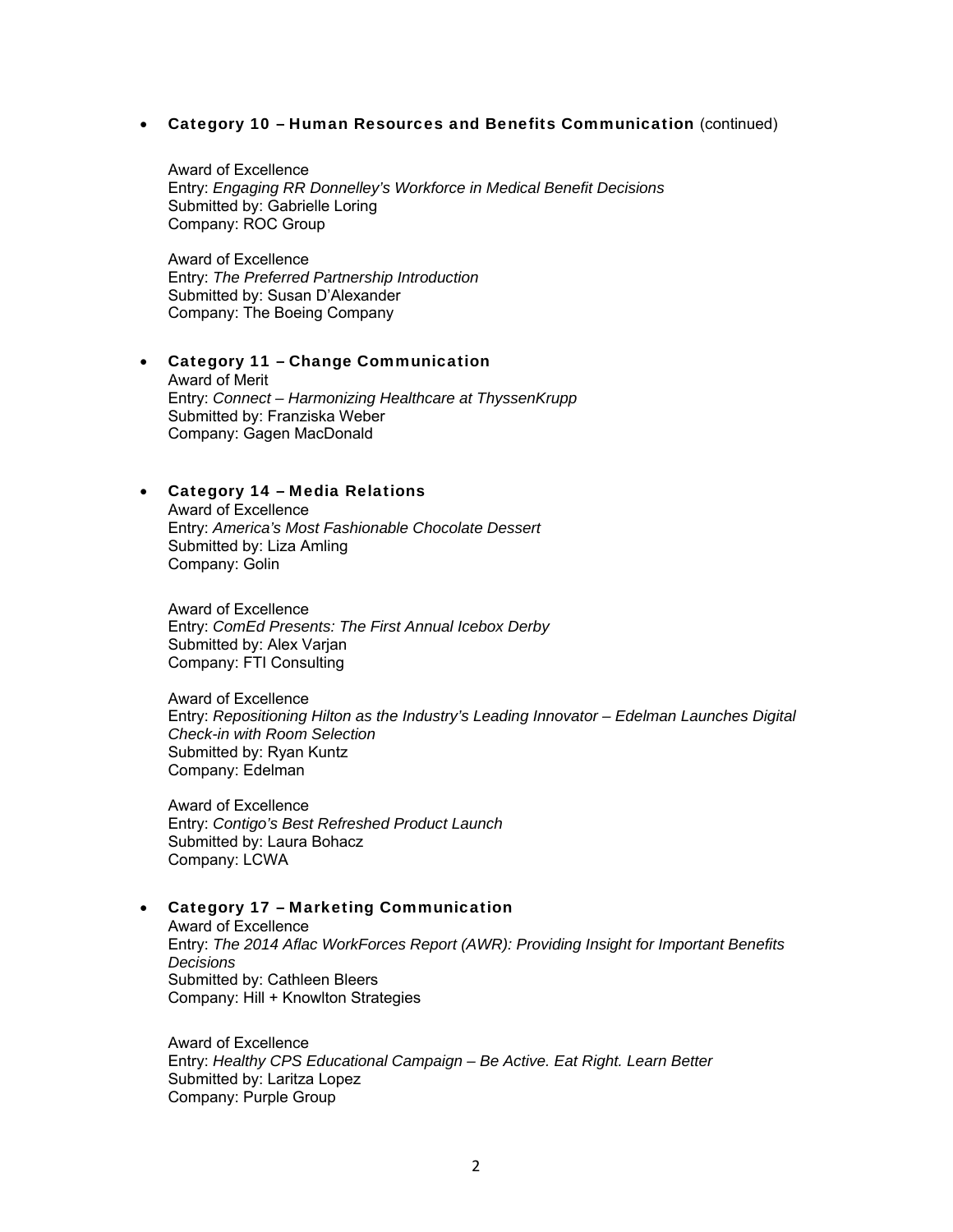#### Category 10 – Human Resources and Benefits Communication (continued)

Award of Excellence Entry: *Engaging RR Donnelley's Workforce in Medical Benefit Decisions* Submitted by: Gabrielle Loring Company: ROC Group

Award of Excellence Entry: *The Preferred Partnership Introduction* Submitted by: Susan D'Alexander Company: The Boeing Company

#### Category 11 – Change Communication

Award of Merit Entry: *Connect – Harmonizing Healthcare at ThyssenKrupp* Submitted by: Franziska Weber Company: Gagen MacDonald

#### Category 14 – Media Relations

Award of Excellence Entry: *America's Most Fashionable Chocolate Dessert* Submitted by: Liza Amling Company: Golin

Award of Excellence Entry: *ComEd Presents: The First Annual Icebox Derby* Submitted by: Alex Varjan Company: FTI Consulting

Award of Excellence Entry: *Repositioning Hilton as the Industry's Leading Innovator – Edelman Launches Digital Check-in with Room Selection* Submitted by: Ryan Kuntz Company: Edelman

Award of Excellence Entry: *Contigo's Best Refreshed Product Launch* Submitted by: Laura Bohacz Company: LCWA

#### Category 17 – Marketing Communication

Award of Excellence Entry: *The 2014 Aflac WorkForces Report (AWR): Providing Insight for Important Benefits Decisions* Submitted by: Cathleen Bleers Company: Hill + Knowlton Strategies

Award of Excellence Entry: *Healthy CPS Educational Campaign – Be Active. Eat Right. Learn Better* Submitted by: Laritza Lopez Company: Purple Group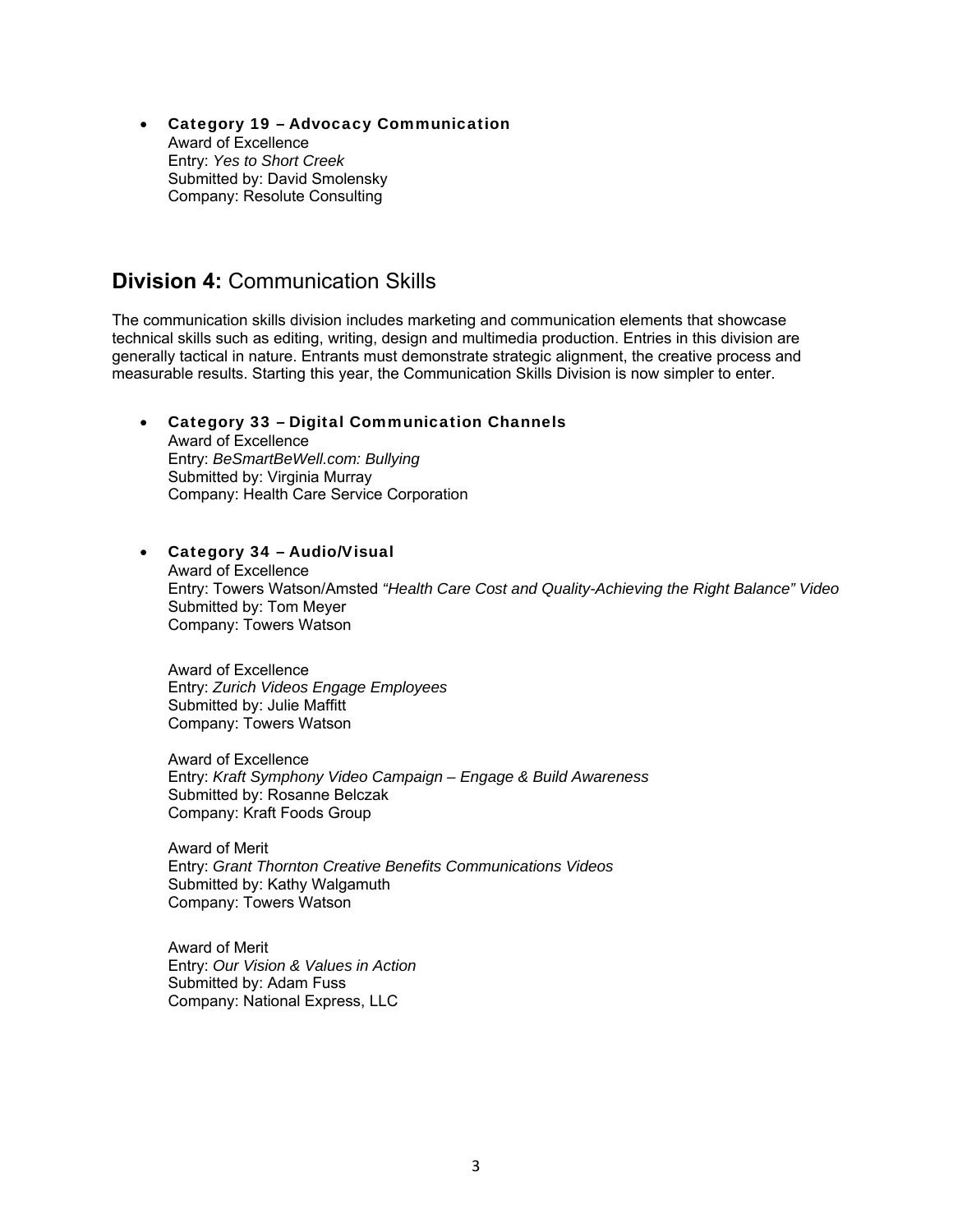Category 19 – Advocacy Communication Award of Excellence Entry: *Yes to Short Creek* Submitted by: David Smolensky Company: Resolute Consulting

# **Division 4:** Communication Skills

The communication skills division includes marketing and communication elements that showcase technical skills such as editing, writing, design and multimedia production. Entries in this division are generally tactical in nature. Entrants must demonstrate strategic alignment, the creative process and measurable results. Starting this year, the Communication Skills Division is now simpler to enter.

#### Category 33 – Digital Communication Channels

Award of Excellence Entry: *BeSmartBeWell.com: Bullying* Submitted by: Virginia Murray Company: Health Care Service Corporation

#### Category 34 – Audio/Visual

Award of Excellence Entry: Towers Watson/Amsted *"Health Care Cost and Quality-Achieving the Right Balance" Video* Submitted by: Tom Meyer Company: Towers Watson

Award of Excellence Entry: *Zurich Videos Engage Employees* Submitted by: Julie Maffitt Company: Towers Watson

Award of Excellence Entry: *Kraft Symphony Video Campaign – Engage & Build Awareness* Submitted by: Rosanne Belczak Company: Kraft Foods Group

Award of Merit Entry: *Grant Thornton Creative Benefits Communications Videos* Submitted by: Kathy Walgamuth Company: Towers Watson

Award of Merit Entry: *Our Vision & Values in Action* Submitted by: Adam Fuss Company: National Express, LLC